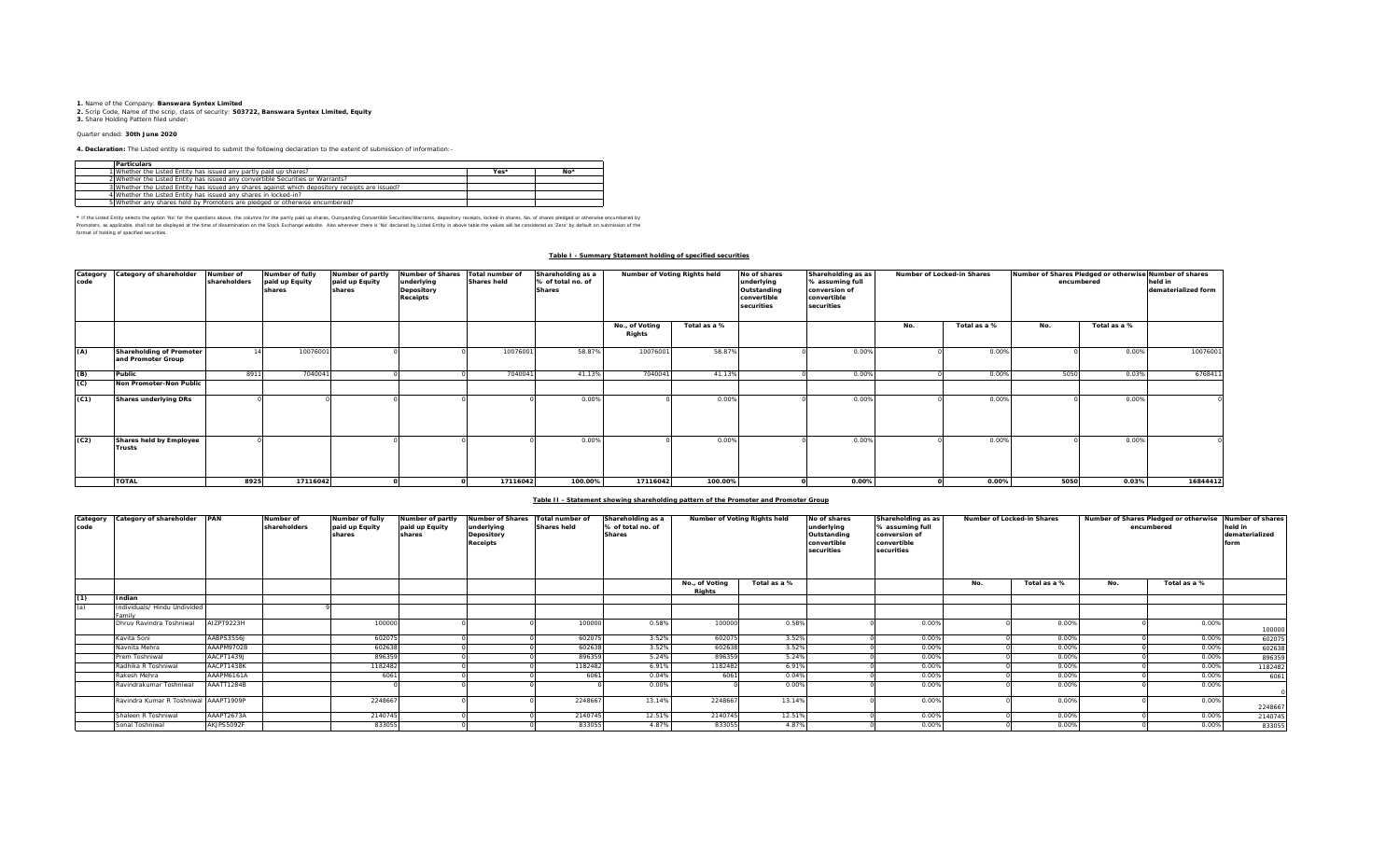**1.** Name of the Company: **Banswara Syntex Limited**<br>2. Scrip Code, Name of the scrip, class of security: **503722, Banswara Syntex Limited, Equity**<br>**3.** Share Holding Pattern filed under:

## Quarter ended: **30th June 2020**

**4. Declaration:** The Listed entity is required to submit the following declaration to the extent of submission of information:-

| <b>Particulars</b>                                                                              |      |       |
|-------------------------------------------------------------------------------------------------|------|-------|
| 1 Whether the Listed Entity has issued any partly paid up shares?                               | Yes* | $No*$ |
| 2 Whether the Listed Entity has issued any convertible Securities or Warrants?                  |      |       |
| 3 Whether the Listed Entity has issued any shares against which depository receipts are issued? |      |       |
| 4 Whether the Listed Entity has issued any shares in locked-in?                                 |      |       |
| 5 Whether any shares held by Promoters are pledged or otherwise encumbered?                     |      |       |

\* If ne Listed Ently selects ine opton War for the equasitons above, the outwars for the partly share, Quityandng Convertible Securities/Warrants, depository receipts, boked-in shares, No. of shares predget or otherwise in format of holding of specified securities.

### **Table I - Summary Statement holding of specified securities**

| Category<br>code | Category of shareholder                        | Number of<br>shareholders | Number of fully<br>paid up Equity<br>shares | Number of partly<br>paid up Equity<br>shares | <b>Number of Shares</b><br>underlying<br>Depository<br><b>Receipts</b> | Total number of<br>Shares held | Shareholding as a<br>% of total no. of<br><b>Shares</b> | Number of Voting Rights held |              | No of shares<br>underlying<br>Outstanding<br>convertible<br>securities | Shareholding as as<br>% assuming full<br>conversion of<br>convertible<br>securities |     | Number of Locked-in Shares | Number of Shares Pledged or otherwise Number of shares<br>encumbered | held in<br>dematerialized form |          |
|------------------|------------------------------------------------|---------------------------|---------------------------------------------|----------------------------------------------|------------------------------------------------------------------------|--------------------------------|---------------------------------------------------------|------------------------------|--------------|------------------------------------------------------------------------|-------------------------------------------------------------------------------------|-----|----------------------------|----------------------------------------------------------------------|--------------------------------|----------|
|                  |                                                |                           |                                             |                                              |                                                                        |                                |                                                         | No., of Voting<br>Rights     | Total as a % |                                                                        |                                                                                     | No. | Total as a %               | No.                                                                  | Total as a %                   |          |
| (A)              | Shareholding of Promoter<br>and Promoter Group |                           | 10076001                                    |                                              |                                                                        | 10076001                       | 58.87%                                                  | 10076001                     | 58.87%       |                                                                        | 0.00%                                                                               |     | 0.00%                      |                                                                      | 0.00%                          | 10076001 |
| (B)              | Public                                         | 8911                      | 7040041                                     |                                              |                                                                        | 7040041                        | 41.13%                                                  | 704004                       | 41.13%       |                                                                        | 0.00%                                                                               |     | 0.00%                      | 5050                                                                 | 0.03%                          | 6768411  |
| (C)              | Non Promoter-Non Public                        |                           |                                             |                                              |                                                                        |                                |                                                         |                              |              |                                                                        |                                                                                     |     |                            |                                                                      |                                |          |
| (C1)             | Shares underlying DRs                          |                           |                                             |                                              |                                                                        |                                | 0.00%                                                   |                              | 0.00%        |                                                                        | 0.00%                                                                               |     | 0.00%                      |                                                                      | 0.00%                          |          |
| (C2)             | Shares held by Employee<br>Trusts              |                           |                                             |                                              |                                                                        |                                | 0.00%                                                   |                              | 0.00%        |                                                                        | 0.00%                                                                               |     | 0.00%                      |                                                                      | 0.00%                          |          |
|                  | <b>TOTAL</b>                                   | 8925                      | 17116042                                    |                                              |                                                                        | 17116042                       | 100.00%                                                 | 17116042                     | 100.00%      |                                                                        | 0.00%                                                                               |     | 0.00%                      | 5050                                                                 | 0.03%                          | 16844412 |

#### **Table II - Statement showing shareholding pattern of the Promoter and Promoter Group**

| Category<br>code | Category of shareholder PAN            |            | Number of<br>shareholders | Number of fully<br>paid up Equity<br>shares | Number of partly<br>paid up Equity<br>shares | <b>Number of Shares</b><br>underlying<br>Depository<br><b>Receipts</b> | Total number of<br><b>Shares held</b> | Shareholding as a<br>% of total no. of<br><b>Shares</b> | Number of Voting Rights held |              | No of shares<br>underlying<br>Outstanding<br>convertible<br>securities | Shareholding as as<br>% assuming full<br>conversion of<br>convertible<br>securities |     | Number of Locked-in Shares | Number of Shares Pledged or otherwise<br>encumbered |              | Number of shares<br>held in<br>dematerialized<br>form |
|------------------|----------------------------------------|------------|---------------------------|---------------------------------------------|----------------------------------------------|------------------------------------------------------------------------|---------------------------------------|---------------------------------------------------------|------------------------------|--------------|------------------------------------------------------------------------|-------------------------------------------------------------------------------------|-----|----------------------------|-----------------------------------------------------|--------------|-------------------------------------------------------|
|                  |                                        |            |                           |                                             |                                              |                                                                        |                                       |                                                         | No., of Voting<br>Riahts     | Total as a % |                                                                        |                                                                                     | No. | Total as a %               | No.                                                 | Total as a % |                                                       |
| (1)              | Indian                                 |            |                           |                                             |                                              |                                                                        |                                       |                                                         |                              |              |                                                                        |                                                                                     |     |                            |                                                     |              |                                                       |
| (a)              | Individuals/ Hindu Undivided<br>Family |            |                           |                                             |                                              |                                                                        |                                       |                                                         |                              |              |                                                                        |                                                                                     |     |                            |                                                     |              |                                                       |
|                  | Dhruy Ravindra Toshniwal               | AIZPT9223H |                           | 100000                                      |                                              |                                                                        | 100000                                | 0.58%                                                   | 100000                       | 0.58%        |                                                                        | 0.00%                                                                               |     | 0.00%                      |                                                     | 0.00%        | 100000                                                |
|                  | Kavita Soni                            | AABPS3556J |                           | 602075                                      |                                              |                                                                        | 60207                                 | 3.52%                                                   | 602075                       | 3.52%        |                                                                        | 0.00%                                                                               |     | 0.00%                      |                                                     | 0.00%        | 602075                                                |
|                  | Navnita Mehra                          | AAAPM9702B |                           | 602638                                      |                                              |                                                                        | 60263                                 | 3.52%                                                   | 602638                       | 3.52%        |                                                                        | 0.00%                                                                               |     | 0.00%                      |                                                     | 0.00%        | 602638                                                |
|                  | Prem Toshniwal                         | AACPT1439J |                           | 896359                                      |                                              |                                                                        | 896359                                | 5.24%                                                   | 896359                       | 5.24%        |                                                                        | 0.00%                                                                               |     | 0.00%                      |                                                     | 0.00%        | 896359                                                |
|                  | Radhika R Toshniwal                    | AACPT1438K |                           | 1182482                                     |                                              |                                                                        | 1182482                               | 6.91%                                                   | 1182482                      | 6.91%        |                                                                        | 0.00%                                                                               |     | 0.00%                      |                                                     | 0.00%        | 1182482                                               |
|                  | Rakesh Mehra                           | AAAPM6161A |                           | 6061                                        |                                              |                                                                        | 6061                                  | 0.04%                                                   | 6061                         | 0.04%        |                                                                        | 0.00%                                                                               |     | 0.00%                      |                                                     | 0.00%        | 6061                                                  |
|                  | Ravindrakumar Toshniwal                | AAATT1284B |                           |                                             |                                              |                                                                        |                                       | 0.00%                                                   |                              | 0.00%        |                                                                        | 0.00%                                                                               |     | 0.00%                      |                                                     | 0.00%        |                                                       |
|                  | Ravindra Kumar R Toshniwal AAAPT1909P  |            |                           | 2248667                                     |                                              |                                                                        | 224866                                | 13.14%                                                  | 2248667                      | 13.14%       |                                                                        | 0.00%                                                                               |     | 0.00%                      |                                                     | 0.00%        | 2248667                                               |
|                  | Shaleen R Toshniwal                    | AAAPT2673A |                           | 2140745                                     |                                              |                                                                        | 2140745                               | 12.51%                                                  | 2140745                      | 12.51%       |                                                                        | 0.00%                                                                               |     | 0.00%                      |                                                     | 0.00%        | 2140745                                               |
|                  | Sonal Toshniwal                        | AKJPS5092F |                           | 833055                                      |                                              |                                                                        | 833055                                | 4.87%                                                   | 833055                       | 4.87%        |                                                                        | 0.00%                                                                               |     | 0.00%                      |                                                     | 0.00%        | 833055                                                |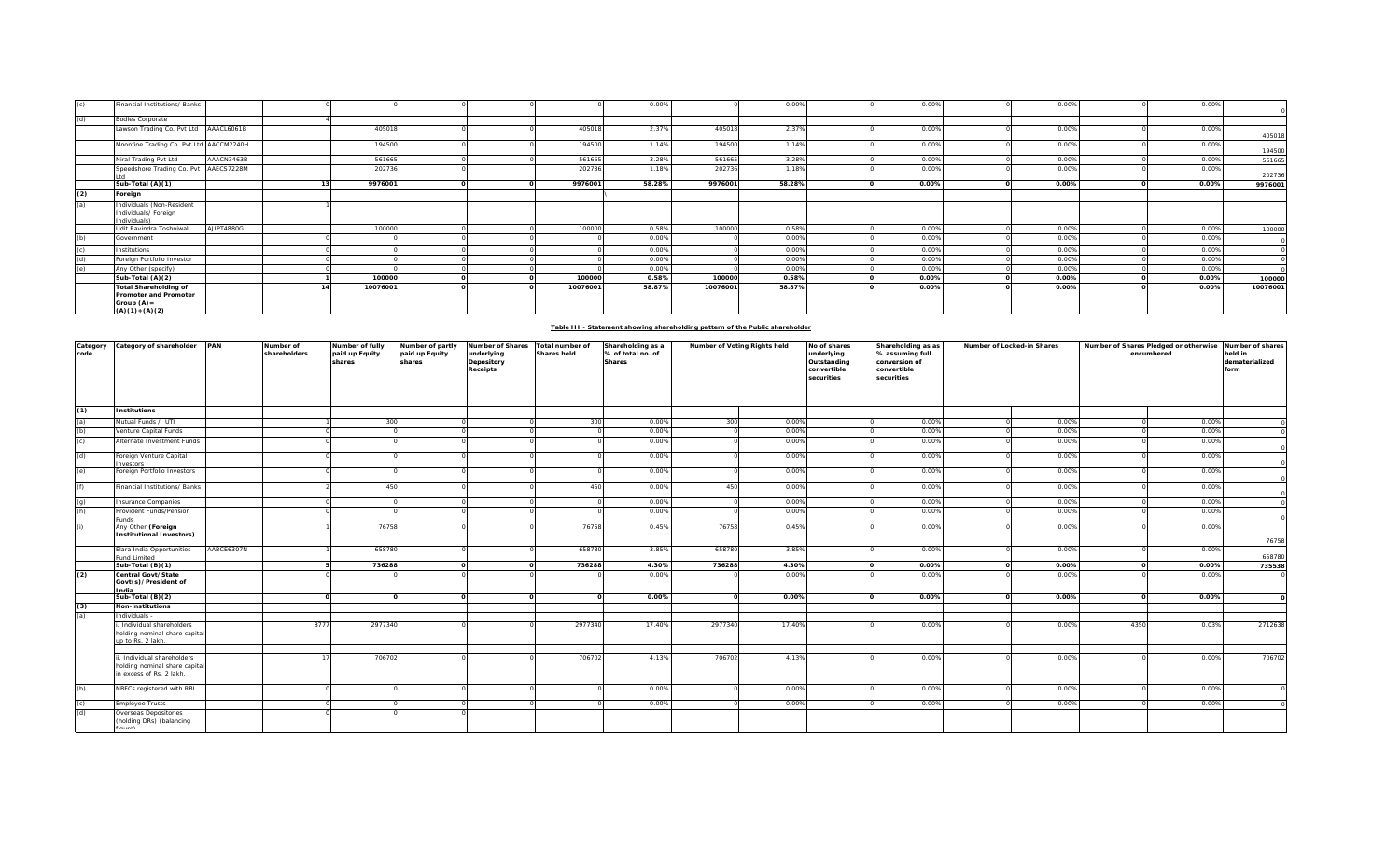|     | Financial Institutions/ Banks                                                                      |            |          |  |          | 0.00%  |          | 0.00%  | 0.00% | 0.00% | 0.00% |          |
|-----|----------------------------------------------------------------------------------------------------|------------|----------|--|----------|--------|----------|--------|-------|-------|-------|----------|
| (d) | <b>Bodies Corporate</b>                                                                            |            |          |  |          |        |          |        |       |       |       |          |
|     | Lawson Trading Co. Pvt Ltd AAACL6061B                                                              |            | 405018   |  | 405018   | 2.37%  | 405018   | 2.37%  | 0.00% | 0.00% | 0.00% | 405018   |
|     | Moonfine Trading Co. Pvt Ltd AACCM2240H                                                            |            | 194500   |  | 194500   | 1.14%  | 194500   | 1.14%  | 0.00% | 0.00% | 0.00% | 194500   |
|     | Niral Trading Pvt Ltd                                                                              | AAACN3463B | 561665   |  | 561665   | 3.28%  | 561665   | 3.28%  | 0.00% | 0.00% | 0.00% | 561665   |
|     | Speedshore Trading Co. Pvt AAECS7228M                                                              |            | 202736   |  | 202736   | 1.18%  | 202736   | 1.18%  | 0.00% | 0.00% | 0.00% | 202736   |
|     | Sub-Total (A)(1)                                                                                   |            | 9976001  |  | 9976001  | 58.28% | 9976001  | 58.28% | 0.00% | 0.00% | 0.00% | 9976001  |
| (2) | Foreign                                                                                            |            |          |  |          |        |          |        |       |       |       |          |
| (a) | Individuals (Non-Resident<br>Individuals/ Foreign<br>Individuals)                                  |            |          |  |          |        |          |        |       |       |       |          |
|     | Udit Ravindra Toshniwal                                                                            | AJIPT4880G | 100000   |  | 100000   | 0.58%  | 100000   | 0.58%  | 0.00% | 0.00% | 0.00% | 100000   |
| (b) | Government                                                                                         |            |          |  |          | 0.00%  |          | 0.00%  | 0.00% | 0.00% | 0.00% |          |
|     | Institutions                                                                                       |            |          |  |          | 0.00%  |          | 0.00%  | 0.00% | 0.00% | 0.00% |          |
| (d) | Foreign Portfolio Investor                                                                         |            |          |  |          | 0.00%  |          | 0.00%  | 0.00% | 0.00% | 0.00% |          |
| (e) | Any Other (specify)                                                                                |            |          |  |          | 0.00%  |          | 0.00%  | 0.00% | 0.00% | 0.00% |          |
|     | Sub-Total (A)(2)                                                                                   |            | 100000   |  | 100000   | 0.58%  | 100000   | 0.58%  | 0.00% | 0.00% | 0.00% | 100000   |
|     | <b>Total Shareholding of</b><br><b>Promoter and Promoter</b><br>Group $(A)$ =<br>$(A)(1) + (A)(2)$ |            | 10076001 |  | 10076001 | 58.87% | 10076001 | 58.87% | 0.00% | 0.00% | 0.00% | 10076001 |

| Table III - Statement showing shareholding pattern of the Public shareholder |
|------------------------------------------------------------------------------|
|                                                                              |

| Category<br>code                            | Category of shareholder PAN                                                            |            | Number of<br>shareholders | Number of fully<br>paid up Equity<br>shares | Number of partly<br>paid up Equity<br>shares | Number of Shares Total number of<br>underlying<br>Depository<br><b>Receipts</b> | Shares held | Shareholding as a<br>% of total no. of<br><b>Shares</b> | Number of Voting Rights held |        | No of shares<br>underlying<br>Outstanding<br>convertible<br>securities | Shareholding as as<br>% assuming full<br>conversion of<br>convertible<br>securities | Number of Locked-in Shares |       | Number of Shares Pledged or otherwise<br>encumbered |       | Number of shares<br>held in<br>dematerialized<br>form |
|---------------------------------------------|----------------------------------------------------------------------------------------|------------|---------------------------|---------------------------------------------|----------------------------------------------|---------------------------------------------------------------------------------|-------------|---------------------------------------------------------|------------------------------|--------|------------------------------------------------------------------------|-------------------------------------------------------------------------------------|----------------------------|-------|-----------------------------------------------------|-------|-------------------------------------------------------|
| (1)                                         | <b>Institutions</b>                                                                    |            |                           |                                             |                                              |                                                                                 |             |                                                         |                              |        |                                                                        |                                                                                     |                            |       |                                                     |       |                                                       |
| (a)<br>(b)<br>(c)                           | Mutual Funds / UTI                                                                     |            |                           | 300                                         |                                              |                                                                                 | 300         | 0.00%                                                   | 300                          | 0.00%  |                                                                        | 0.00%                                                                               |                            | 0.00% |                                                     | 0.00% |                                                       |
|                                             | enture Capital Funds                                                                   |            |                           |                                             |                                              |                                                                                 |             | 0.00%                                                   |                              | 0.00%  |                                                                        | 0.00%                                                                               |                            | 0.00% |                                                     | 0.00% |                                                       |
|                                             | Alternate Investment Funds                                                             |            |                           |                                             |                                              |                                                                                 |             | 0.00%                                                   |                              | 0.00%  |                                                                        | 0.00%                                                                               |                            | 0.00% |                                                     | 0.00% |                                                       |
| (d)                                         | Foreign Venture Capital<br>avestors                                                    |            |                           |                                             |                                              |                                                                                 |             | 0.00%                                                   |                              | 0.00%  |                                                                        | 0.00%                                                                               |                            | 0.00% |                                                     | 0.00% |                                                       |
| (e)                                         | Foreign Portfolio Investors                                                            |            |                           |                                             |                                              |                                                                                 |             | 0.00%                                                   |                              | 0.00%  |                                                                        | 0.00%                                                                               |                            | 0.00% |                                                     | 0.00% |                                                       |
| (f)                                         | inancial Institutions/ Banks                                                           |            |                           | 450                                         |                                              |                                                                                 | 450         | 0.00%                                                   | 450                          | 0.00%  |                                                                        | 0.00%                                                                               |                            | 0.00% |                                                     | 0.00% |                                                       |
| $\frac{(g)}{(h)}$                           | nsurance Companies                                                                     |            |                           |                                             |                                              |                                                                                 |             | 0.00%                                                   |                              | 0.00%  |                                                                        | 0.00%                                                                               |                            | 0.00% |                                                     | 0.00% |                                                       |
|                                             | rovident Funds/Pension<br>unds                                                         |            |                           |                                             |                                              |                                                                                 |             | 0.00%                                                   |                              | 0.00%  |                                                                        | 0.00%                                                                               |                            | 0.00% |                                                     | 0.00% |                                                       |
| (i)                                         | Any Other (Foreign<br><b>Institutional Investors)</b>                                  |            |                           | 76758                                       |                                              |                                                                                 | 76758       | 0.45%                                                   | 76758                        | 0.45%  |                                                                        | 0.00%                                                                               |                            | 0.00% |                                                     | 0.00% | 76758                                                 |
|                                             | Elara India Opportunities<br>und Limited                                               | AABCE6307N |                           | 658780                                      |                                              |                                                                                 | 658780      | 3.85%                                                   | 658780                       | 3.85%  |                                                                        | 0.00%                                                                               |                            | 0.00% |                                                     | 0.00% | 658780                                                |
|                                             | Sub-Total $(B)(1)$                                                                     |            |                           | 736288                                      |                                              |                                                                                 | 736288      | 4.30%                                                   | 736288                       | 4.30%  |                                                                        | 0.00%                                                                               |                            | 0.00% |                                                     | 0.00% | 735538                                                |
| (2)                                         | Central Govt/State<br>Govt(s)/President of<br>ndia                                     |            |                           |                                             |                                              |                                                                                 |             | 0.00%                                                   |                              | 0.00%  |                                                                        | 0.00%                                                                               |                            | 0.00% |                                                     | 0.00% |                                                       |
|                                             | Sub-Total (B)(2)                                                                       |            |                           |                                             |                                              |                                                                                 | $\Omega$    | 0.00%                                                   |                              | 0.00%  |                                                                        | 0.00%                                                                               |                            | 0.00% |                                                     | 0.00% |                                                       |
| $\frac{(3)}{(a)}$                           | <b>Non-institutions</b>                                                                |            |                           |                                             |                                              |                                                                                 |             |                                                         |                              |        |                                                                        |                                                                                     |                            |       |                                                     |       |                                                       |
|                                             | Individuals -                                                                          |            |                           |                                             |                                              |                                                                                 |             |                                                         |                              |        |                                                                        |                                                                                     |                            |       |                                                     |       |                                                       |
|                                             | Individual shareholders<br>holding nominal share capital<br>up to Rs. 2 lakh.          |            | 8777                      | 2977340                                     |                                              |                                                                                 | 2977340     | 17.40%                                                  | 2977340                      | 17.40% |                                                                        | 0.00%                                                                               |                            | 0.00% | 4350                                                | 0.03% | 2712638                                               |
|                                             |                                                                                        |            |                           |                                             |                                              |                                                                                 |             |                                                         |                              |        |                                                                        |                                                                                     |                            |       |                                                     |       |                                                       |
|                                             | . Individual shareholders<br>holding nominal share capital<br>in excess of Rs. 2 lakh. |            |                           | 706702                                      |                                              |                                                                                 | 706702      | 4.13%                                                   | 706702                       | 4.13%  |                                                                        | 0.00%                                                                               |                            | 0.00% |                                                     | 0.00% | 706702                                                |
| (b)                                         | NBFCs registered with RBI                                                              |            |                           |                                             |                                              |                                                                                 |             | 0.00%                                                   |                              | 0.00%  |                                                                        | 0.00%                                                                               |                            | 0.00% |                                                     | 0.00% |                                                       |
|                                             | mployee Trusts                                                                         |            |                           |                                             |                                              |                                                                                 |             | 0.00%                                                   |                              | 0.00%  |                                                                        | 0.00%                                                                               |                            | 0.00% |                                                     | 0.00% |                                                       |
| $\begin{pmatrix} 1 \\ 0 \\ 0 \end{pmatrix}$ | Overseas Depositories<br>(holding DRs) (balancing                                      |            |                           |                                             |                                              |                                                                                 |             |                                                         |                              |        |                                                                        |                                                                                     |                            |       |                                                     |       |                                                       |